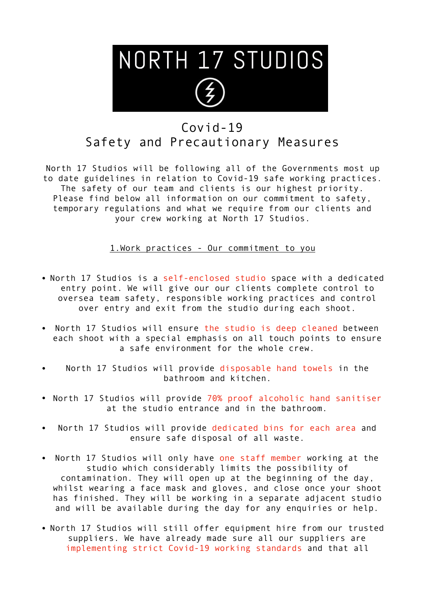

## Covid-19 Safety and Precautionary Measures

North 17 Studios will be following all of the Governments most up to date guidelines in relation to Covid-19 safe working practices. The safety of our team and clients is our highest priority. Please find below all information on our commitment to safety, temporary regulations and what we require from our clients and your crew working at North 17 Studios.

1.Work practices - Our commitment to you

- North 17 Studios is a self-enclosed studio space with a dedicated entry point. We will give our our clients complete control to oversea team safety, responsible working practices and control over entry and exit from the studio during each shoot.
- North 17 Studios will ensure the studio is deep cleaned between each shoot with a special emphasis on all touch points to ensure a safe environment for the whole crew.
- North 17 Studios will provide disposable hand towels in the bathroom and kitchen.
- North 17 Studios will provide 70% proof alcoholic hand sanitiser at the studio entrance and in the bathroom.
- North 17 Studios will provide dedicated bins for each area and ensure safe disposal of all waste.
- North 17 Studios will only have one staff member working at the studio which considerably limits the possibility of contamination. They will open up at the beginning of the day, whilst wearing a face mask and gloves, and close once your shoot has finished. They will be working in a separate adjacent studio and will be available during the day for any enquiries or help.
- North 17 Studios will still offer equipment hire from our trusted suppliers. We have already made sure all our suppliers are implementing strict Covid-19 working standards and that all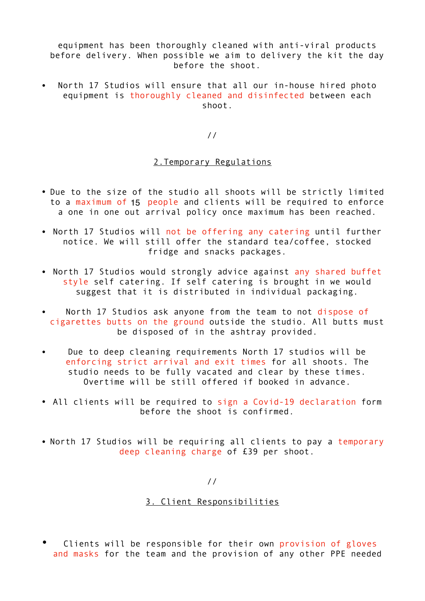equipment has been thoroughly cleaned with anti-viral products before delivery. When possible we aim to delivery the kit the day before the shoot.

North 17 Studios will ensure that all our in-house hired photo equipment is thoroughly cleaned and disinfected between each shoot.

//

## 2.Temporary Regulations

- Due to the size of the studio all shoots will be strictly limited to a maximum of 15 people and clients will be required to enforce a one in one out arrival policy once maximum has been reached.
- North 17 Studios will not be offering any catering until further notice. We will still offer the standard tea/coffee, stocked fridge and snacks packages.
- North 17 Studios would strongly advice against any shared buffet style self catering. If self catering is brought in we would suggest that it is distributed in individual packaging.
- North 17 Studios ask anyone from the team to not dispose of cigarettes butts on the ground outside the studio. All butts must be disposed of in the ashtray provided.
- Due to deep cleaning requirements North 17 studios will be enforcing strict arrival and exit times for all shoots. The studio needs to be fully vacated and clear by these times. Overtime will be still offered if booked in advance.
- All clients will be required to sign a Covid-19 declaration form before the shoot is confirmed.
- North 17 Studios will be requiring all clients to pay a temporary deep cleaning charge of £39 per shoot.

//

## 3. Client Responsibilities

Clients will be responsible for their own provision of gloves and masks for the team and the provision of any other PPE needed